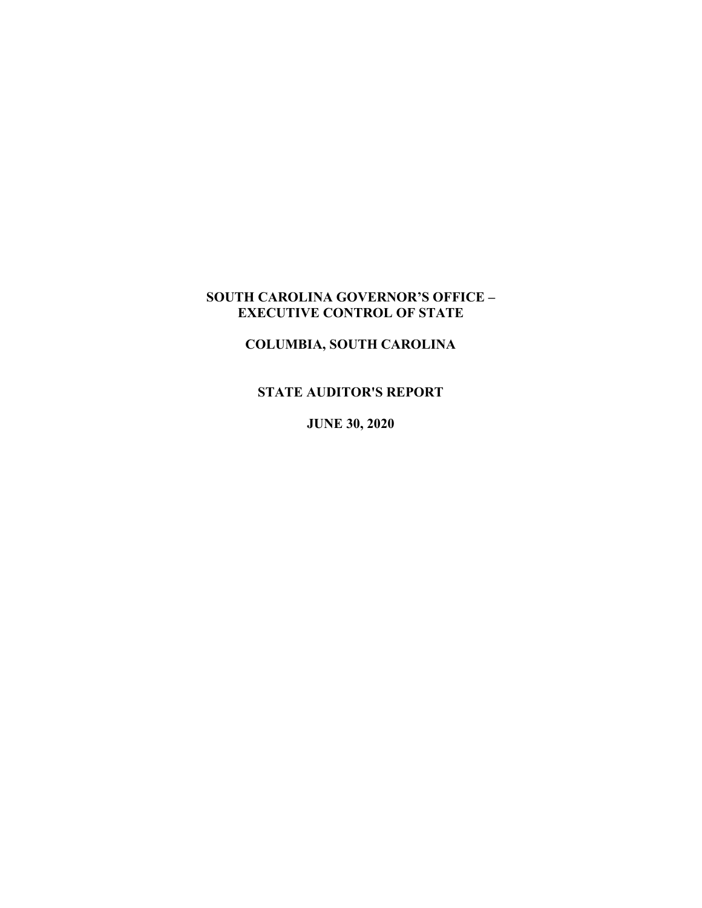## **SOUTH CAROLINA GOVERNOR'S OFFICE – EXECUTIVE CONTROL OF STATE**

# **COLUMBIA, SOUTH CAROLINA**

## **STATE AUDITOR'S REPORT**

**JUNE 30, 2020**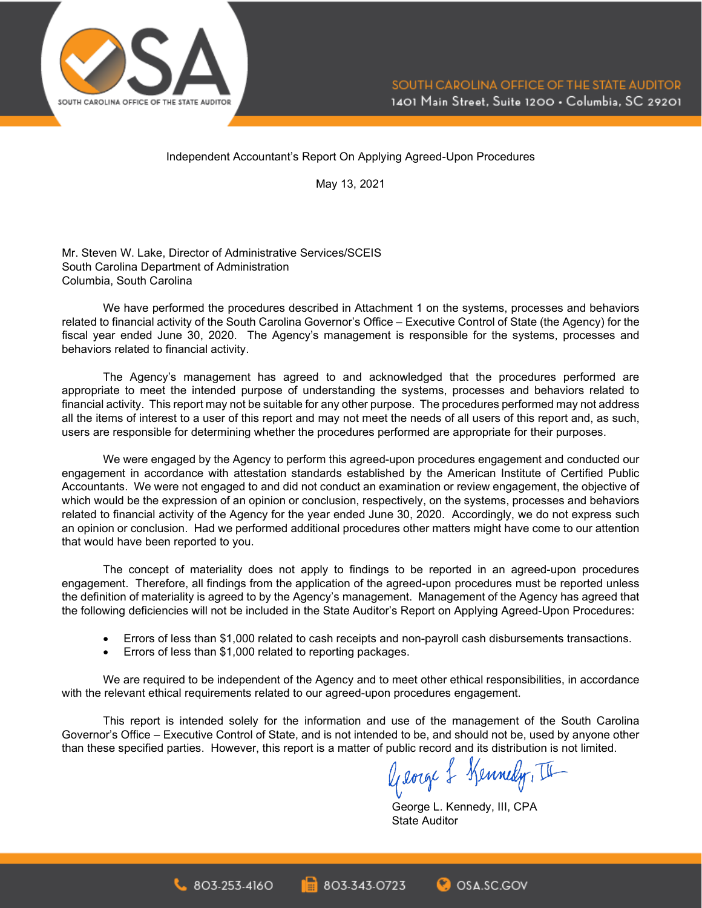

Independent Accountant's Report On Applying Agreed-Upon Procedures

May 13, 2021

Mr. Steven W. Lake, Director of Administrative Services/SCEIS South Carolina Department of Administration Columbia, South Carolina

We have performed the procedures described in Attachment 1 on the systems, processes and behaviors related to financial activity of the South Carolina Governor's Office – Executive Control of State (the Agency) for the fiscal year ended June 30, 2020. The Agency's management is responsible for the systems, processes and behaviors related to financial activity.

The Agency's management has agreed to and acknowledged that the procedures performed are appropriate to meet the intended purpose of understanding the systems, processes and behaviors related to financial activity. This report may not be suitable for any other purpose. The procedures performed may not address all the items of interest to a user of this report and may not meet the needs of all users of this report and, as such, users are responsible for determining whether the procedures performed are appropriate for their purposes.

We were engaged by the Agency to perform this agreed-upon procedures engagement and conducted our engagement in accordance with attestation standards established by the American Institute of Certified Public Accountants. We were not engaged to and did not conduct an examination or review engagement, the objective of which would be the expression of an opinion or conclusion, respectively, on the systems, processes and behaviors related to financial activity of the Agency for the year ended June 30, 2020. Accordingly, we do not express such an opinion or conclusion. Had we performed additional procedures other matters might have come to our attention that would have been reported to you.

The concept of materiality does not apply to findings to be reported in an agreed-upon procedures engagement. Therefore, all findings from the application of the agreed-upon procedures must be reported unless the definition of materiality is agreed to by the Agency's management. Management of the Agency has agreed that the following deficiencies will not be included in the State Auditor's Report on Applying Agreed-Upon Procedures:

- Errors of less than \$1,000 related to cash receipts and non-payroll cash disbursements transactions.
- Errors of less than \$1,000 related to reporting packages.

We are required to be independent of the Agency and to meet other ethical responsibilities, in accordance with the relevant ethical requirements related to our agreed-upon procedures engagement.

This report is intended solely for the information and use of the management of the South Carolina Governor's Office – Executive Control of State, and is not intended to be, and should not be, used by anyone other than these specified parties. However, this report is a matter of public record and its distribution is not limited.<br> $\sqrt{\text{length}}$ 

George L. Kennedy, III, CPA State Auditor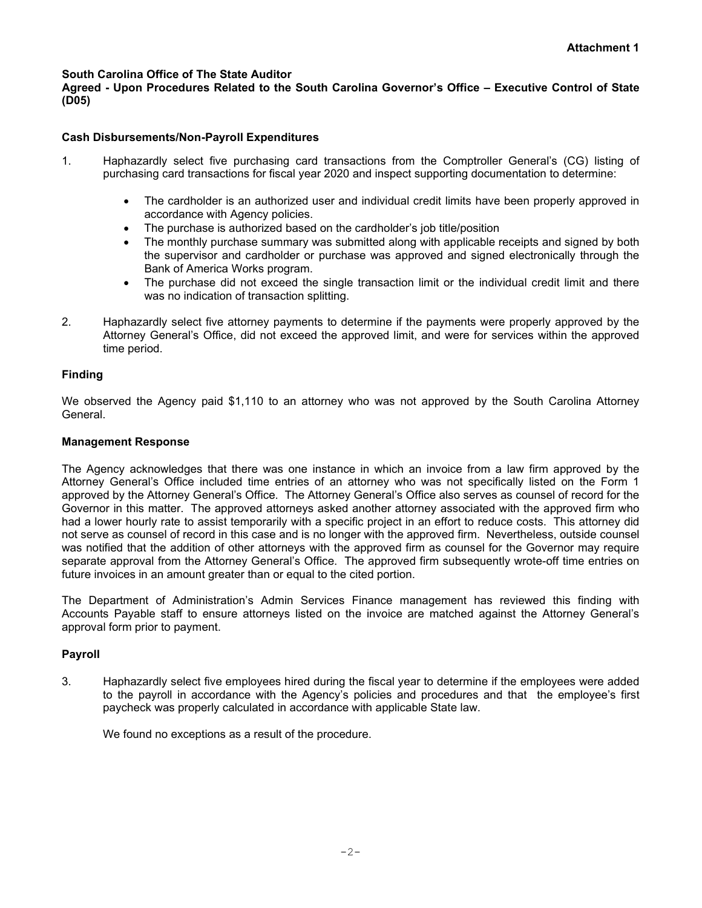#### **South Carolina Office of The State Auditor**

**Agreed - Upon Procedures Related to the South Carolina Governor's Office – Executive Control of State (D05)**

#### **Cash Disbursements/Non-Payroll Expenditures**

- 1. Haphazardly select five purchasing card transactions from the Comptroller General's (CG) listing of purchasing card transactions for fiscal year 2020 and inspect supporting documentation to determine:
	- The cardholder is an authorized user and individual credit limits have been properly approved in accordance with Agency policies.
	- The purchase is authorized based on the cardholder's job title/position
	- The monthly purchase summary was submitted along with applicable receipts and signed by both the supervisor and cardholder or purchase was approved and signed electronically through the Bank of America Works program.
	- The purchase did not exceed the single transaction limit or the individual credit limit and there was no indication of transaction splitting.
- 2. Haphazardly select five attorney payments to determine if the payments were properly approved by the Attorney General's Office, did not exceed the approved limit, and were for services within the approved time period.

#### **Finding**

We observed the Agency paid \$1,110 to an attorney who was not approved by the South Carolina Attorney General.

#### **Management Response**

The Agency acknowledges that there was one instance in which an invoice from a law firm approved by the Attorney General's Office included time entries of an attorney who was not specifically listed on the Form 1 approved by the Attorney General's Office. The Attorney General's Office also serves as counsel of record for the Governor in this matter. The approved attorneys asked another attorney associated with the approved firm who had a lower hourly rate to assist temporarily with a specific project in an effort to reduce costs. This attorney did not serve as counsel of record in this case and is no longer with the approved firm. Nevertheless, outside counsel was notified that the addition of other attorneys with the approved firm as counsel for the Governor may require separate approval from the Attorney General's Office. The approved firm subsequently wrote-off time entries on future invoices in an amount greater than or equal to the cited portion.

The Department of Administration's Admin Services Finance management has reviewed this finding with Accounts Payable staff to ensure attorneys listed on the invoice are matched against the Attorney General's approval form prior to payment.

#### **Payroll**

3. Haphazardly select five employees hired during the fiscal year to determine if the employees were added to the payroll in accordance with the Agency's policies and procedures and that the employee's first paycheck was properly calculated in accordance with applicable State law.

We found no exceptions as a result of the procedure.